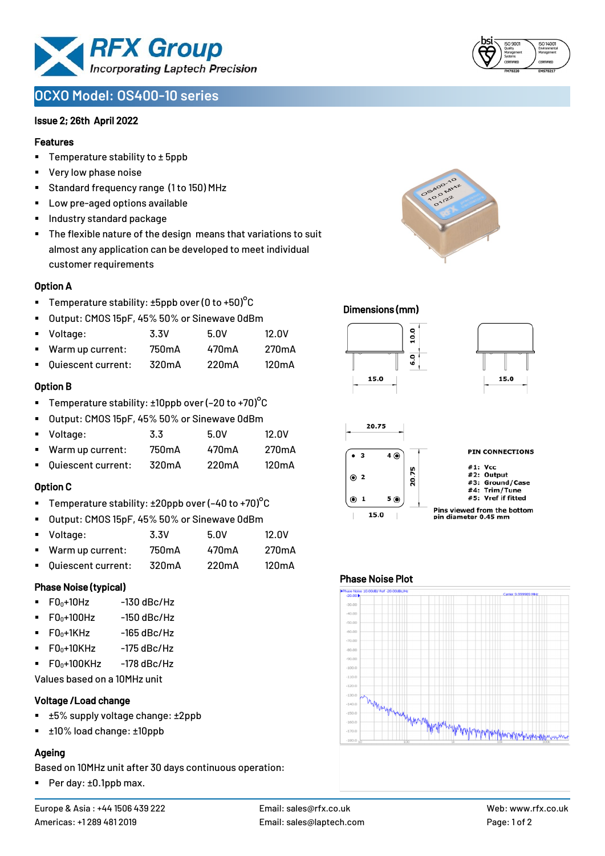

# **OCXO Model: OS400-10 series**

#### Issue 2; 26th April 2022

#### Features

- Temperature stability to  $\pm$  5ppb
- Very low phase noise
- Standard frequency range (1 to 150) MHz
- Low pre-aged options available
- Industry standard package
- The flexible nature of the design means that variations to suit almost any application can be developed to meet individual customer requirements

#### Option A

- Temperature stability:  $\pm 5$ ppb over (0 to +50)<sup>o</sup>C
- Output: CMOS 15pF, 45% 50% or Sinewave 0dBm
- Voltage: 3.3V 5.0V 12.0V
- Warm up current: 750mA 470mA 270mA
- Quiescent current: 320mA 220mA 120mA

## Option B

- Temperature stability:  $\pm 10$ ppb over (-20 to +70)<sup>o</sup>C
- Output: CMOS 15pF, 45% 50% or Sinewave 0dBm
- Voltage: 3.3 5.0V 12.0V
- Warm up current: 750mA 470mA 270mA
- Quiescent current: 320mA 220mA 120mA

#### Option C

- Temperature stability:  $\pm 20$ ppb over (-40 to +70)°C
- Output: CMOS 15pF, 45% 50% or Sinewave 0dBm
- Voltage: 3.3V 5.0V 12.0V
- Warm up current: 750mA 470mA 270mA
- Quiescent current: 320mA 220mA 120mA

#### Phase Noise (typical)

- $F0_0+10Hz$  -130 dBc/Hz
- $F0_0+100$ Hz  $-150$  dBc/Hz
- $\blacksquare$  F0 $\scriptstyle\bullet$ +1KHz -165 dBc/Hz
- $F0_0+10K$ Hz  $-175$  dBc/Hz
- $F0_0+100$ KHz  $-178$  dBc/Hz

Values based on a 10MHz unit

#### Voltage /Load change

- ±5% supply voltage change: ±2ppb
- ±10% load change: ±10ppb

#### Ageing

Based on 10MHz unit after 30 days continuous operation:

■ Per day: ±0.1ppb max.











#### Phase Noise Plot